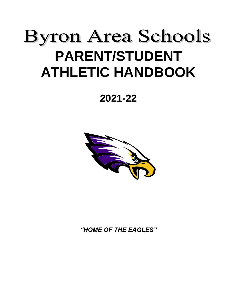# **Byron Area Schools PARENT/STUDENT ATHLETIC HANDBOOK**

# **2021-22**



*"HOME OF THE EAGLES"*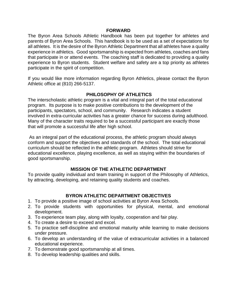#### **FORWARD**

The Byron Area Schools Athletic Handbook has been put together for athletes and parents of Byron Area Schools. This handbook is to be used as a set of expectations for all athletes. It is the desire of the Byron Athletic Department that all athletes have a quality experience in athletics. Good sportsmanship is expected from athletes, coaches and fans that participate in or attend events. The coaching staff is dedicated to providing a quality experience to Byron students. Student welfare and safety are a top priority as athletes participate in the spirit of competition.

If you would like more information regarding Byron Athletics, please contact the Byron Athletic office at (810) 266-5137.

#### **PHILOSOPHY OF ATHLETICS**

The interscholastic athletic program is a vital and integral part of the total educational program. Its purpose is to make positive contributions to the development of the participants, spectators, school, and community. Research indicates a student involved in extra-curricular activities has a greater chance for success during adulthood. Many of the character traits required to be a successful participant are exactly those that will promote a successful life after high school.

As an integral part of the educational process, the athletic program should always conform and support the objectives and standards of the school. The total educational curriculum should be reflected in the athletic program. Athletes should strive for educational excellence, playing excellence, as well as staying within the boundaries of good sportsmanship.

#### **MISSION OF THE ATHLETIC DEPARTMENT**

To provide quality individual and team training in support of the Philosophy of Athletics, by attracting, developing, and retaining quality students and coaches.

#### **BYRON ATHLETIC DEPARTMENT OBJECTIVES**

- 1. To provide a positive image of school activities at Byron Area Schools.
- 2. To provide students with opportunities for physical, mental, and emotional development.
- 3. To experience team play, along with loyalty, cooperation and fair play.
- 4. To create a desire to exceed and excel.
- 5. To practice self-discipline and emotional maturity while learning to make decisions under pressure.
- 6. To develop an understanding of the value of extracurricular activities in a balanced educational experience.
- 7. To demonstrate good sportsmanship at all times.
- 8. To develop leadership qualities and skills.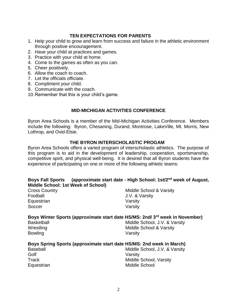# **TEN EXPECTATIONS FOR PARENTS**

- 1. Help your child to grow and learn from success and failure in the athletic environment through positive encouragement.
- 2. Have your child at practices and games.
- 3. Practice with your child at home.
- 4. Come to the games as often as you can.
- 5. Cheer positively.
- 6. Allow the coach to coach.
- 7. Let the officials officiate.
- 8. Compliment your child.
- 9. Communicate with the coach.
- 10.Remember that this is your child's game.

#### **MID-MICHIGAN ACTIVITIES CONFERENCE**

Byron Area Schools is a member of the Mid-Michigan Activities Conference. Members include the following: Byron, Chesaning, Durand, Montrose, LakeVille, Mt. Morris, New Lothrop, and Ovid-Elsie.

#### **THE BYRON INTERSCHOLASTIC PROGAM**

Byron Area Schools offers a varied program of interscholastic athletics. The purpose of this program is to aid in the development of leadership, cooperation, sportsmanship, competitive spirit, and physical well-being. It is desired that all Byron students have the experience of participating on one or more of the following athletic teams:

| Boys Fall Sports (approximate start date - High School: 1st/2 <sup>nd</sup> week of August,<br>Middle School: 1st Week of School) |                                    |
|-----------------------------------------------------------------------------------------------------------------------------------|------------------------------------|
| <b>Cross Country</b>                                                                                                              | Middle School & Varsity            |
| Football                                                                                                                          | J.V. & Varsity                     |
| Equestrian                                                                                                                        | Varsity                            |
| Soccer                                                                                                                            | Varsity                            |
| Boys Winter Sports (approximate start date HS/MS: 2nd/ 3rd week in November)                                                      |                                    |
| <b>Basketball</b>                                                                                                                 | Middle School, J.V. & Varsity      |
| Wrestling                                                                                                                         | <b>Middle School &amp; Varsity</b> |
| <b>Bowling</b>                                                                                                                    | Varsity                            |
| Boys Spring Sports (approximate start date HS/MS: 2nd week in March)                                                              |                                    |
| <b>Baseball</b>                                                                                                                   | Middle School, J.V. & Varsity      |
| Golf                                                                                                                              | Varsity                            |
| Track                                                                                                                             | Middle School, Varsity             |
| Equestrian                                                                                                                        | Middle School                      |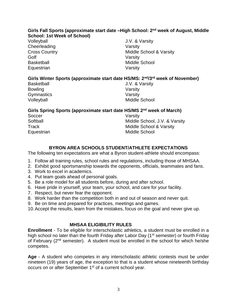#### **Girls Fall Sports (approximate start date –High School: 2 nd week of August, Middle School: 1st Week of School)**

Volleyball J.V. & Varsity Cheerleading **Varsity** Golf Varsity Basketball Middle School Equestrian Varsity

Cross Country **Middle School & Varsity** 

# **Girls Winter Sports (approximate start date HS/MS: 2nd/3rd week of November)**

Bowling **Varsity** Gymnastics Varsity

Basketball **Basketball** J.V. & Varsity Volleyball Middle School

#### **Girls Spring Sports (approximate start date HS/MS 2nd week of March)**

Soccer Varsity

Softball Middle School, J.V. & Varsity Track Track Middle School & Varsity Equestrian Middle School

# **BYRON AREA SCHOOLS STUDENT/ATHLETE EXPECTATIONS**

The following ten expectations are what a Byron student-athlete should encompass:

- 1. Follow all training rules, school rules and regulations, including those of MHSAA.
- 2. Exhibit good sportsmanship towards the opponents, officials, teammates and fans.
- 3. Work to excel in academics.
- 4. Put team goals ahead of personal goals.
- 5. Be a role model for all students before, during and after school.
- 6. Have pride in yourself, your team, your school, and care for your facility.
- 7. Respect, but never fear the opponent.
- 8. Work harder than the competition both in and out of season and never quit.
- 9. Be on time and prepared for practices, meetings and games.
- 10.Accept the results, learn from the mistakes, focus on the goal and never give up.

# **MHSAA ELIGIBILITY RULES**

**Enrollment** - To be eligible for interscholastic athletics, a student must be enrolled in a high school no later than the fourth Friday after Labor Day (1<sup>st</sup> semester) or fourth Friday of February (2nd semester). A student must be enrolled in the school for which he/she competes.

**Age** - A student who competes in any interscholastic athletic contests must be under nineteen (19) years of age, the exception to that is a student whose nineteenth birthday occurs on or after September 1<sup>st</sup> of a current school year.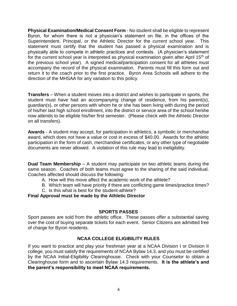**Physical Examination/Medical Consent Form** - No student shall be eligible to represent Byron, for whom there is not a physician's statement on file, in the offices of the Superintendent, Principal, or the Athletic Director for the current school year. This statement must certify that the student has passed a physical examination and is physically able to compete in athletic practices and contests. (A physician's statement for the current school year is interpreted as physical examination given after April 15<sup>th</sup> of the previous school year). A signed medical/participation consent for all athletes must accompany the record of the physical examination. Parents must fill this form out and return it to the coach prior to the first practice. Byron Area Schools will adhere to the direction of the MHSAA for any variation to this policy.

**Transfers** – When a student moves into a district and wishes to participate in sports, the student must have had an accompanying change of residence, from his parent(s), guardian(s), or other persons with whom he or she has been living with during the period of his/her last high school enrollment, into the district or service area of the school he/she now attends to be eligible his/her first semester. (Please check with the Athletic Director on all transfers).

**Awards** - A student may accept, for participation in athletics, a symbolic or merchandise award, which does not have a value or cost in excess of \$40.00. Awards for the athletic participation in the form of cash, merchandise certificates, or any other type of negotiable documents are never allowed. A violation of this rule may lead to ineligibility.

**Dual Team Membership** – A student may participate on two athletic teams during the same season. Coaches of both teams must agree to the sharing of the said individual. Coaches affected should discuss the following:

A. How will this move affect the academic work of the athlete?

B. Which team will have priority if there are conflicting game times/practice times?

C. Is this what is best for the student-athlete?

**Final Approval must be made by the Athletic Director**

#### **SPORTS PASSES**

Sport passes are sold from the athletic office. These passes offer a substantial saving over the cost of buying separate tickets for each event. Senior Citizens are admitted free of charge for Byron residents.

# **NCAA COLLEGE ELIGIBILITY RULES**

If you want to practice and play your freshman year at a NCAA Division I or Division II college, you must satisfy the requirements of NCAA Bylaw 14.3, and you must be certified by the NCAA Initial-Eligibility Clearinghouse. Check with your Counselor to obtain a Clearinghouse form and to ascertain Bylaw 14.3 requirements. **It is the athlete's and the parent's responsibility to meet NCAA requirements.**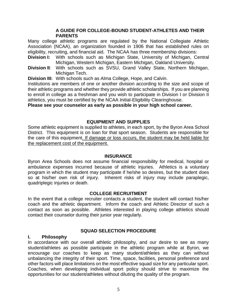#### **A GUIDE FOR COLLEGE-BOUND STUDENT-ATHLETES AND THEIR PARENTS**

Many college athletic programs are regulated by the National Collegiate Athletic Association (NCAA), an organization founded in 1906 that has established rules on eligibility, recruiting, and financial aid. The NCAA has three membership divisions:

- **Division I:** With schools such as Michigan State, University of Michigan, Central Michigan, Western Michigan, Eastern Michigan, Oakland University.
- **Division II**: With schools such as SVSU, Grand Valley State, Northern Michigan, Michigan Tech.

**Division III:** With schools such as Alma College, Hope, and Calvin.

Institutions are members of one or another division according to the size and scope of their athletic programs and whether they provide athletic scholarships. If you are planning to enroll in college as a freshman and you wish to participate in Division I or Division II athletics, you must be certified by the NCAA Initial-Eligibility Clearinghouse.

**Please see your counselor as early as possible in your high school career.**

#### **EQUIPMENT AND SUPPLIES**

Some athletic equipment is supplied to athletes, in each sport, by the Byron Area School District. This equipment is on loan for that sport season. Students are responsible for the care of this equipment. If damage or loss occurs, the student may be held liable for the replacement cost of the equipment.

#### **INSURANCE**

Byron Area Schools does not assume financial responsibility for medical, hospital or ambulance expenses incurred because of athletic injuries. Athletics is a voluntary program in which the student may participate if he/she so desires, but the student does so at his/her own risk of injury. Inherent risks of injury may include paraplegic, quadriplegic injuries or death.

#### **COLLEGE RECRUITMENT**

In the event that a college recruiter contacts a student, the student will contact his/her coach and the athletic department. Inform the coach and Athletic Director of such a contact as soon as possible. Athletes interested in playing college athletics should contact their counselor during their junior year regularly.

#### **SQUAD SELECTION PROCEDURE**

#### **I. Philosophy**

In accordance with our overall athletic philosophy, and our desire to see as many student/athletes as possible participate in the athletic program while at Byron, we encourage our coaches to keep as many student/athletes as they can without unbalancing the integrity of their sport. Time, space, facilities, personal preference and other factors will place limitations on the most effective squad size for any particular sport. Coaches, when developing individual sport policy should strive to maximize the opportunities for our student/athletes without diluting the quality of the program.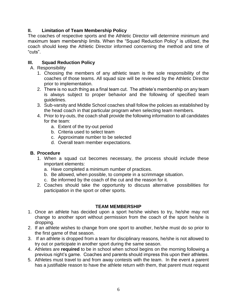# **II. Limitation of Team Membership Policy**

The coaches of respective sports and the Athletic Director will determine minimum and maximum team membership limits. When the "Squad Reduction Policy" is utilized, the coach should keep the Athletic Director informed concerning the method and time of "cuts".

#### **III. Squad Reduction Policy**

- A. Responsibility
	- 1. Choosing the members of any athletic team is the sole responsibility of the coaches of those teams. All squad size will be reviewed by the Athletic Director prior to implementation.
	- 2. There is no such thing as a final team cut. The athlete's membership on any team is always subject to proper behavior and the following of specified team guidelines.
	- 3. Sub-varsity and Middle School coaches shall follow the policies as established by the head coach in that particular program when selecting team members.
	- 4. Prior to try-outs, the coach shall provide the following information to all candidates for the team:
		- a. Extent of the try-out period
		- b. Criteria used to select team
		- c. Approximate number to be selected
		- d. Overall team member expectations.

#### **B. Procedure**

- 1. When a squad cut becomes necessary, the process should include these important elements:
	- a. Have completed a minimum number of practices.
	- b. Be allowed, when possible, to compete in a scrimmage situation.
	- c. Be informed by the coach of the cut and the reason for it.
- 2. Coaches should take the opportunity to discuss alternative possibilities for participation in the sport or other sports.

#### **TEAM MEMBERSHIP**

- 1. Once an athlete has decided upon a sport he/she wishes to try, he/she may not change to another sport without permission from the coach of the sport he/she is dropping.
- 2. If an athlete wishes to change from one sport to another, he/she must do so prior to the first game of that season.
- 3. If an athlete is dropped from a team for disciplinary reasons, he/she is not allowed to try out or participate in another sport during the same season.
- 4. Athletes are **required** to be in school when school begins on the morning following a previous night's game. Coaches and parents should impress this upon their athletes.
- 5. Athletes must travel to and from away contests with the team. In the event a parent has a justifiable reason to have the athlete return with them, that parent must request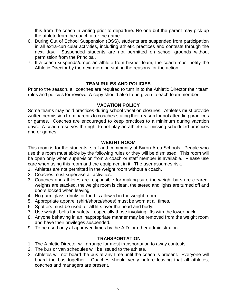this from the coach in writing prior to departure. No one but the parent may pick up the athlete from the coach after the game.

- 6. During Out of School Suspension (OSS), students are suspended from participation in all extra-curricular activities, including athletic practices and contests through the next day. Suspended students are not permitted on school grounds without permission from the Principal.
- 7. If a coach suspends/drops an athlete from his/her team, the coach must notify the Athletic Director by the next morning stating the reasons for the action.

#### **TEAM RULES AND POLICIES**

Prior to the season, all coaches are required to turn in to the Athletic Director their team rules and policies for review. A copy should also to be given to each team member.

#### **VACATION POLICY**

Some teams may hold practices during school vacation closures. Athletes must provide written permission from parents to coaches stating their reason for not attending practices or games. Coaches are encouraged to keep practices to a minimum during vacation days. A coach reserves the right to not play an athlete for missing scheduled practices and or games.

#### **WEIGHT ROOM**

This room is for the students, staff and community of Byron Area Schools. People who use this room must abide by the following rules or they will be dismissed. This room will be open only when supervision from a coach or staff member is available. Please use care when using this room and the equipment in it. The user assumes risk.

- 1. Athletes are not permitted in the weight room without a coach.
- 2. Coaches must supervise all activities.
- 3. Coaches and athletes are responsible for making sure the weight bars are cleared, weights are stacked, the weight room is clean, the stereo and lights are turned off and doors locked when leaving.
- 4. No gum, glass, drinks or food is allowed in the weight room.
- 5. Appropriate apparel (shirt/shorts/shoes) must be worn at all times.
- 6. Spotters must be used for all lifts over the head and body.
- 7. Use weight belts for safety—especially those involving lifts with the lower back.
- 8. Anyone behaving in an inappropriate manner may be removed from the weight room and have their privileges suspended.
- 9. To be used only at approved times by the A.D. or other administration.

#### **TRANSPORTATION**

- 1. The Athletic Director will arrange for most transportation to away contests.
- 2. The bus or van schedules will be issued to the athlete.
- 3. Athletes will not board the bus at any time until the coach is present. Everyone will board the bus together. Coaches should verify before leaving that all athletes, coaches and managers are present.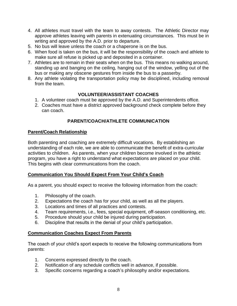- 4. All athletes must travel with the team to away contests. The Athletic Director may approve athletes leaving with parents in extenuating circumstances. This must be in writing and approved by the A.D. prior to departure.
- 5. No bus will leave unless the coach or a chaperone is on the bus.
- 6. When food is taken on the bus, it will be the responsibility of the coach and athlete to make sure all refuse is picked up and deposited in a container.
- 7. Athletes are to remain in their seats when on the bus. This means no walking around, standing up and banging on the ceiling, hanging out of the window, yelling out of the bus or making any obscene gestures from inside the bus to a passerby.
- 8. Any athlete violating the transportation policy may be disciplined, including removal from the team.

#### **VOLUNTEER/ASSISTANT COACHES**

- 1. A volunteer coach must be approved by the A.D. and Superintendents office.
- 2. Coaches must have a district approved background check complete before they can coach.

#### **PARENT/COACH/ATHLETE COMMUNICATION**

#### **Parent/Coach Relationship**

Both parenting and coaching are extremely difficult vocations. By establishing an understanding of each role, we are able to communicate the benefit of extra-curricular activities to children. As parents, when your children become involved in the athletic program, you have a right to understand what expectations are placed on your child. This begins with clear communications from the coach.

#### **Communication You Should Expect From Your Child's Coach**

As a parent, you should expect to receive the following information from the coach:

- 1. Philosophy of the coach.
- 2. Expectations the coach has for your child, as well as all the players.
- 3. Locations and times of all practices and contests.
- 4. Team requirements, i.e., fees, special equipment, off-season conditioning, etc.
- 5. Procedure should your child be injured during participation.
- 6. Discipline that results in the denial of your child's participation.

#### **Communication Coaches Expect From Parents**

The coach of your child's sport expects to receive the following communications from parents:

- 1. Concerns expressed directly to the coach.
- 2. Notification of any schedule conflicts well in advance, if possible.
- 3. Specific concerns regarding a coach's philosophy and/or expectations.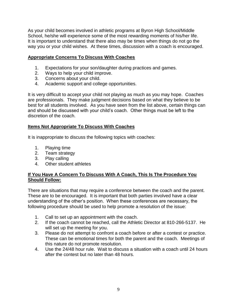As your child becomes involved in athletic programs at Byron High School/Middle School, he/she will experience some of the most rewarding moments of his/her life. It is important to understand that there also may be times when things do not go the way you or your child wishes. At these times, discussion with a coach is encouraged.

#### **Appropriate Concerns To Discuss With Coaches**

- 1. Expectations for your son/daughter during practices and games.
- 2. Ways to help your child improve.
- 3. Concerns about your child.
- 4. Academic support and college opportunities.

It is very difficult to accept your child not playing as much as you may hope. Coaches are professionals. They make judgment decisions based on what they believe to be best for all students involved. As you have seen from the list above, certain things can and should be discussed with your child's coach. Other things must be left to the discretion of the coach.

# **Items Not Appropriate To Discuss With Coaches**

It is inappropriate to discuss the following topics with coaches:

- 1. Playing time
- 2. Team strategy
- 3. Play calling
- 4. Other student athletes

#### **If You Have A Concern To Discuss With A Coach, This Is The Procedure You Should Follow:**

There are situations that may require a conference between the coach and the parent. These are to be encouraged. It is important that both parties involved have a clear understanding of the other's position. When these conferences are necessary, the following procedure should be used to help promote a resolution of the issue:

- 1. Call to set up an appointment with the coach.
- 2. If the coach cannot be reached, call the Athletic Director at 810-266-5137. He will set up the meeting for you.
- 3. Please do not attempt to confront a coach before or after a contest or practice. These can be emotional times for both the parent and the coach. Meetings of this nature do not promote resolution.
- 4. Use the 24/48 hour rule. Wait to discuss a situation with a coach until 24 hours after the contest but no later than 48 hours.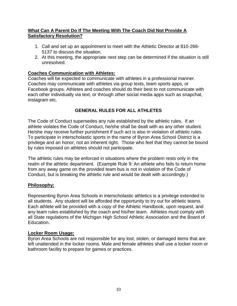#### **What Can A Parent Do If The Meeting With The Coach Did Not Provide A Satisfactory Resolution?**

- 1. Call and set up an appointment to meet with the Athletic Director at 810-266- 5137 to discuss the situation.
- 2. At this meeting, the appropriate next step can be determined if the situation is still unresolved.

## **Coaches Communication with Athletes:**

Coaches will be expected to communicate with athletes in a professional manner. Coaches may communicate with athletes via group texts, team sports apps, or Facebook groups. Athletes and coaches should do their best to not communicate with each other individually via text, or through other social media apps such as snapchat, instagram etc.

# **GENERAL RULES FOR ALL ATHLETES**

The Code of Conduct supersedes any rule established by the athletic rules. If an athlete violates the Code of Conduct, he/she shall be dealt with as any other student. He/she may receive further punishment if such act is also in violation of athletic rules. To participate in interscholastic sports in the name of Byron Area School District is a privilege and an honor, not an inherent right. Those who feel that they cannot be bound by rules imposed on athletes should not participate.

The athletic rules may be enforced in situations where the problem rests only in the realm of the athletic department. (Example Rule 9: An athlete who fails to return home from any away game on the provided team bus is not in violation of the Code of Conduct, but is breaking the athletic rule and would be dealt with accordingly.)

#### **Philosophy:**

Representing Byron Area Schools in interscholastic athletics is a privilege extended to all students. Any student will be afforded the opportunity to try out for athletic teams. Each athlete will be provided with a copy of the Athletic Handbook, upon request, and any team rules established by the coach and his/her team. Athletes must comply with all State regulations of the Michigan High School Athletic Association and the Board of Education.

#### **Locker Room Usage:**

Byron Area Schools are not responsible for any lost, stolen, or damaged items that are left unattended in the locker rooms. Male and female athletes shall use a locker room or bathroom facility to prepare for games or practices.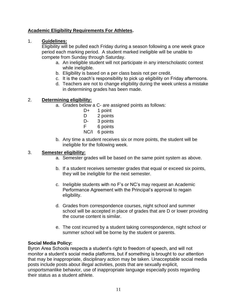# **Academic Eligibility Requirements For Athletes.**

#### 1. **Guidelines:**

Eligibility will be pulled each Friday during a season following a one week grace period each marking period. A student marked ineligible will be unable to compete from Sunday through Saturday.

- a. An ineligible student will not participate in any interscholastic contest while ineligible.
- b. Eligibility is based on a per class basis not per credit.
- c. It is the coach's responsibility to pick up eligibility on Friday afternoons.
- d. Teachers are not to change eligibility during the week unless a mistake in determining grades has been made.

# 2. **Determining eligibility:**

- a. Grades below a C- are assigned points as follows:
	- D+ 1 point
	- D 2 points
	- D- 3 points
	- F 6 points
	- NC/I 6 points
- b. Any time a student receives six or more points, the student will be ineligible for the following week.

#### 3. **Semester eligibility:**

- a. Semester grades will be based on the same point system as above.
- b. If a student receives semester grades that equal or exceed six points, they will be ineligible for the next semester.
- c. Ineligible students with no F's or NC's may request an Academic Performance Agreement with the Principal's approval to regain eligibility.
- d. Grades from correspondence courses, night school and summer school will be accepted in place of grades that are D or lower providing the course content is similar.
- e. The cost incurred by a student taking correspondence, night school or summer school will be borne by the student or parents.

#### **Social Media Policy:**

Byron Area Schools respects a student's right to freedom of speech, and will not monitor a student's social media platforms, but if something is brought to our attention that may be inappropriate, disciplinary action may be taken. Unacceptable social media posts include posts about illegal activities, posts that are sexually explicit, unsportsmanlike behavior, use of inappropriate language especially posts regarding their status as a student athlete.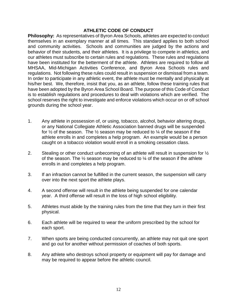#### **ATHLETIC CODE OF CONDUCT**

**Philosophy:** As representatives of Byron Area Schools, athletes are expected to conduct themselves in an exemplary manner at all times. This standard applies to both school and community activities. Schools and communities are judged by the actions and behavior of their students, and their athletes. It is a privilege to compete in athletics, and our athletes must subscribe to certain rules and regulations. These rules and regulations have been instituted for the betterment of the athlete. Athletes are required to follow all MHSAA, Mid-Michigan Activities Conference, and Byron Area Schools rules and regulations. Not following these rules could result in suspension or dismissal from a team. In order to participate in any athletic event, the athlete must be mentally and physically at his/her best. We, therefore, insist that you, as an athlete, follow these training rules that have been adopted by the Byron Area School Board. The purpose of this Code of Conduct is to establish regulations and procedures to deal with violations which are verified. The school reserves the right to investigate and enforce violations which occur on or off school grounds during the school year.

- 1. Any athlete in possession of, or using, tobacco, alcohol, behavior altering drugs, or any National Collegiate Athletic Association banned drugs will be suspended for  $\frac{1}{2}$  of the season. The  $\frac{1}{2}$  season may be reduced to  $\frac{1}{4}$  of the season if the athlete enrolls in and completes a help program. An example would be a person caught on a tobacco violation would enroll in a smoking cessation class.
- 2. Stealing or other conduct unbecoming of an athlete will result in suspension for  $\frac{1}{2}$ of the season. The  $\frac{1}{2}$  season may be reduced to  $\frac{1}{4}$  of the season if the athlete enrolls in and completes a help program.
- 3. If an infraction cannot be fulfilled in the current season, the suspension will carry over into the next sport the athlete plays.
- 4. A second offense will result in the athlete being suspended for one calendar year. A third offense will result in the loss of high school eligibility.
- 5. Athletes must abide by the training rules from the time that they turn in their first physical.
- 6. Each athlete will be required to wear the uniform prescribed by the school for each sport.
- 7. When sports are being conducted concurrently, an athlete may not quit one sport and go out for another without permission of coaches of both sports.
- 8. Any athlete who destroys school property or equipment will pay for damage and may be required to appear before the athletic council.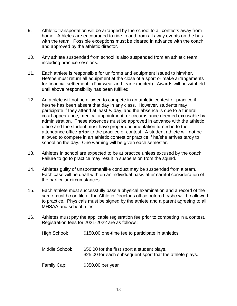- 9. Athletic transportation will be arranged by the school to all contests away from home. Athletes are encouraged to ride to and from all away events on the bus with the team. Possible exceptions must be cleared in advance with the coach and approved by the athletic director.
- 10. Any athlete suspended from school is also suspended from an athletic team, including practice sessions.
- 11. Each athlete is responsible for uniforms and equipment issued to him/her. He/she must return all equipment at the close of a sport or make arrangements for financial settlement. (Fair wear and tear expected). Awards will be withheld until above responsibility has been fulfilled.
- 12. An athlete will not be allowed to compete in an athletic contest or practice if he/she has been absent that day in any class. However, students may participate if they attend at least ½ day, and the absence is due to a funeral, court appearance, medical appointment, or circumstance deemed excusable by administration. These absences must be approved in advance with the athletic office and the student must have proper documentation turned in to the attendance office **prior** to the practice or contest. A student athlete will not be allowed to compete in an athletic contest or practice if he/she arrives tardy to school on the day. One warning will be given each semester.
- 13. Athletes in school are expected to be at practice unless excused by the coach. Failure to go to practice may result in suspension from the squad.
- 14. Athletes guilty of unsportsmanlike conduct may be suspended from a team. Each case will be dealt with on an individual basis after careful consideration of the particular circumstances.
- 15. Each athlete must successfully pass a physical examination and a record of the same must be on file at the Athletic Director's office before he/she will be allowed to practice. Physicals must be signed by the athlete and a parent agreeing to all MHSAA and school rules.
- 16. Athletes must pay the applicable registration fee prior to competing in a contest. Registration fees for 2021-2022 are as follows:
	- High School:  $$150.00$  one-time fee to participate in athletics. Middle School: \$50.00 for the first sport a student plays. \$25.00 for each subsequent sport that the athlete plays. Family Cap: \$350.00 per year